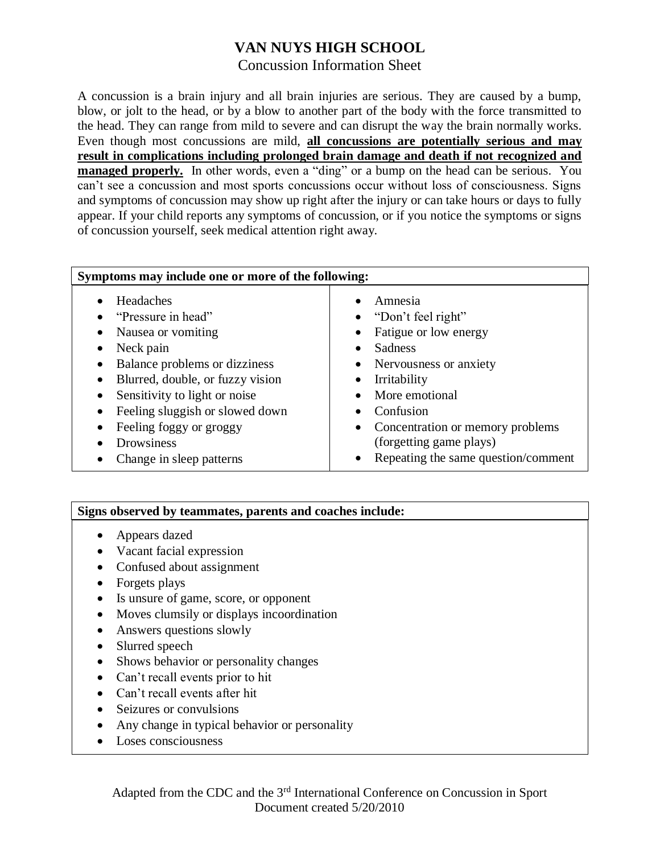# **VAN NUYS HIGH SCHOOL**

## Concussion Information Sheet

A concussion is a brain injury and all brain injuries are serious. They are caused by a bump, blow, or jolt to the head, or by a blow to another part of the body with the force transmitted to the head. They can range from mild to severe and can disrupt the way the brain normally works. Even though most concussions are mild, **all concussions are potentially serious and may result in complications including prolonged brain damage and death if not recognized and managed properly.** In other words, even a "ding" or a bump on the head can be serious. You can't see a concussion and most sports concussions occur without loss of consciousness. Signs and symptoms of concussion may show up right after the injury or can take hours or days to fully appear. If your child reports any symptoms of concussion, or if you notice the symptoms or signs of concussion yourself, seek medical attention right away.

| Symptoms may include one or more of the following:                                                                                                                                                                                                                                                                               |                                                                                                                                                                                                                                                                                |
|----------------------------------------------------------------------------------------------------------------------------------------------------------------------------------------------------------------------------------------------------------------------------------------------------------------------------------|--------------------------------------------------------------------------------------------------------------------------------------------------------------------------------------------------------------------------------------------------------------------------------|
| Headaches<br>"Pressure in head"<br>Nausea or vomiting<br>$\bullet$<br>Neck pain<br>٠<br>Balance problems or dizziness<br>٠<br>Blurred, double, or fuzzy vision<br>Sensitivity to light or noise<br>Feeling sluggish or slowed down<br>Feeling foggy or groggy<br>$\bullet$<br><b>Drowsiness</b><br>Change in sleep patterns<br>٠ | Amnesia<br>"Don't feel right"<br>Fatigue or low energy<br>Sadness<br>• Nervousness or anxiety<br>Irritability<br>$\bullet$<br>More emotional<br>Confusion<br>• Concentration or memory problems<br>(forgetting game plays)<br>Repeating the same question/comment<br>$\bullet$ |

### **Signs observed by teammates, parents and coaches include:**

- Appears dazed
- Vacant facial expression
- Confused about assignment
- Forgets plays
- Is unsure of game, score, or opponent
- Moves clumsily or displays incoordination
- Answers questions slowly
- Slurred speech
- Shows behavior or personality changes
- Can't recall events prior to hit
- Can't recall events after hit
- Seizures or convulsions
- Any change in typical behavior or personality
- Loses consciousness